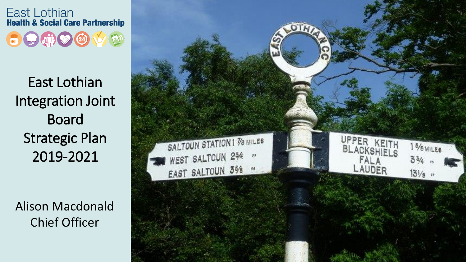

East Lothian Integration Joint Board Strategic Plan 2019-2021

Alison Macdonald Chief Officer

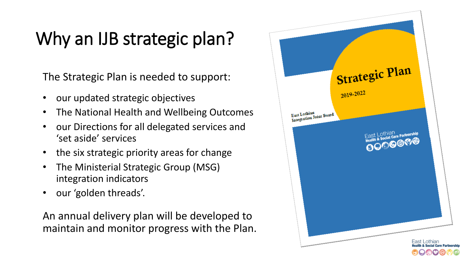## Why an IJB strategic plan?

The Strategic Plan is needed to support:

- our updated strategic objectives
- The National Health and Wellbeing Outcomes
- our Directions for all delegated services and 'set aside' services
- the six strategic priority areas for change
- The Ministerial Strategic Group (MSG) integration indicators
- our 'golden threads'.

An annual delivery plan will be developed to maintain and monitor progress with the Plan.

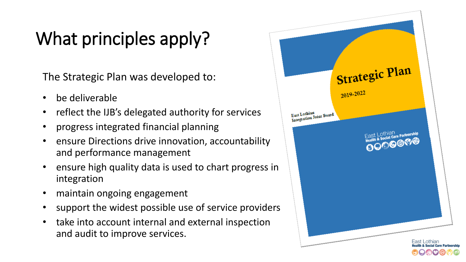# What principles apply?

The Strategic Plan was developed to:

- be deliverable
- reflect the IJB's delegated authority for services
- progress integrated financial planning
- ensure Directions drive innovation, accountability and performance management
- ensure high quality data is used to chart progress in integration
- maintain ongoing engagement
- support the widest possible use of service providers
- take into account internal and external inspection and audit to improve services.

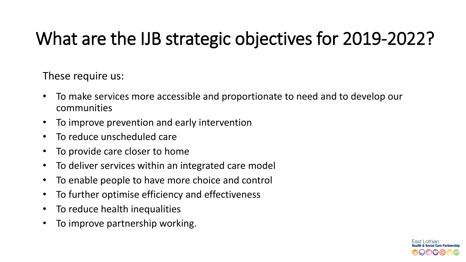## What are the IJB strategic objectives for 2019-2022?

These require us:

- To make services more accessible and proportionate to need and to develop our communities
- To improve prevention and early intervention
- To reduce unscheduled care
- To provide care closer to home
- To deliver services within an integrated care model
- To enable people to have more choice and control
- To further optimise efficiency and effectiveness
- To reduce health inequalities
- To improve partnership working.

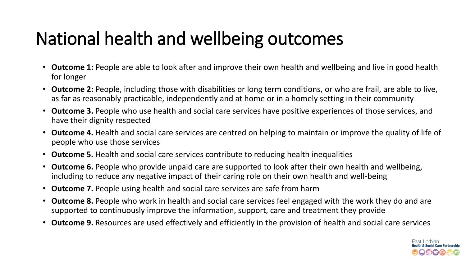## National health and wellbeing outcomes

- **Outcome 1:** People are able to look after and improve their own health and wellbeing and live in good health for longer
- **Outcome 2:** People, including those with disabilities or long term conditions, or who are frail, are able to live, as far as reasonably practicable, independently and at home or in a homely setting in their community
- **Outcome 3.** People who use health and social care services have positive experiences of those services, and have their dignity respected
- **Outcome 4.** Health and social care services are centred on helping to maintain or improve the quality of life of people who use those services
- **Outcome 5.** Health and social care services contribute to reducing health inequalities
- **Outcome 6.** People who provide unpaid care are supported to look after their own health and wellbeing, including to reduce any negative impact of their caring role on their own health and well-being
- **Outcome 7.** People using health and social care services are safe from harm
- **Outcome 8.** People who work in health and social care services feel engaged with the work they do and are supported to continuously improve the information, support, care and treatment they provide
- **Outcome 9.** Resources are used effectively and efficiently in the provision of health and social care services

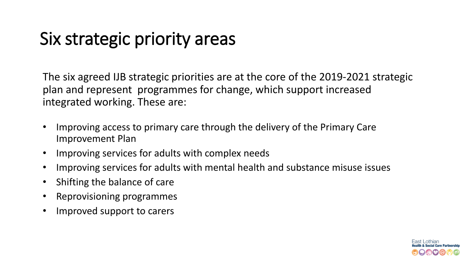#### Six strategic priority areas

The six agreed IJB strategic priorities are at the core of the 2019-2021 strategic plan and represent programmes for change, which support increased integrated working. These are:

- Improving access to primary care through the delivery of the Primary Care Improvement Plan
- Improving services for adults with complex needs
- Improving services for adults with mental health and substance misuse issues
- Shifting the balance of care
- Reprovisioning programmes
- Improved support to carers

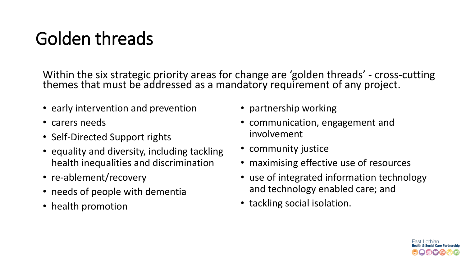## Golden threads

Within the six strategic priority areas for change are 'golden threads' - cross-cutting themes that must be addressed as a mandatory requirement of any project.

- early intervention and prevention
- carers needs
- Self-Directed Support rights
- equality and diversity, including tackling health inequalities and discrimination
- re-ablement/recovery
- needs of people with dementia
- health promotion
- partnership working
- communication, engagement and involvement
- community justice
- maximising effective use of resources
- use of integrated information technology and technology enabled care; and
- tackling social isolation.

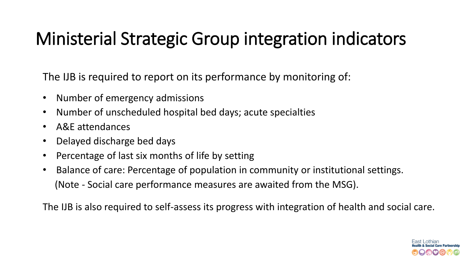### Ministerial Strategic Group integration indicators

The IJB is required to report on its performance by monitoring of:

- Number of emergency admissions
- Number of unscheduled hospital bed days; acute specialties
- A&E attendances
- Delayed discharge bed days
- Percentage of last six months of life by setting
- Balance of care: Percentage of population in community or institutional settings. (Note - Social care performance measures are awaited from the MSG).

The IJB is also required to self-assess its progress with integration of health and social care.

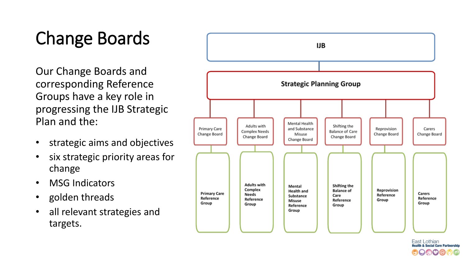# Change Boards

Our Change Boards and corresponding Reference Groups have a key role in progressing the IJB Strategic Plan and the:

- strategic aims and objectives
- six strategic priority areas for change
- MSG Indicators
- golden threads
- all relevant strategies and targets.



East Lothian **Health & Social Care Partnership**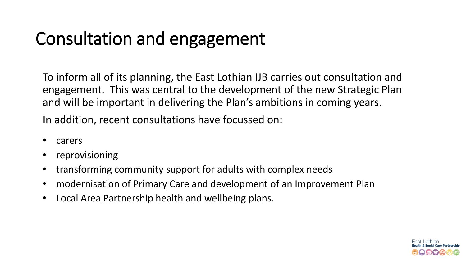## Consultation and engagement

To inform all of its planning, the East Lothian IJB carries out consultation and engagement. This was central to the development of the new Strategic Plan and will be important in delivering the Plan's ambitions in coming years.

In addition, recent consultations have focussed on:

- carers
- reprovisioning
- transforming community support for adults with complex needs
- modernisation of Primary Care and development of an Improvement Plan
- Local Area Partnership health and wellbeing plans.